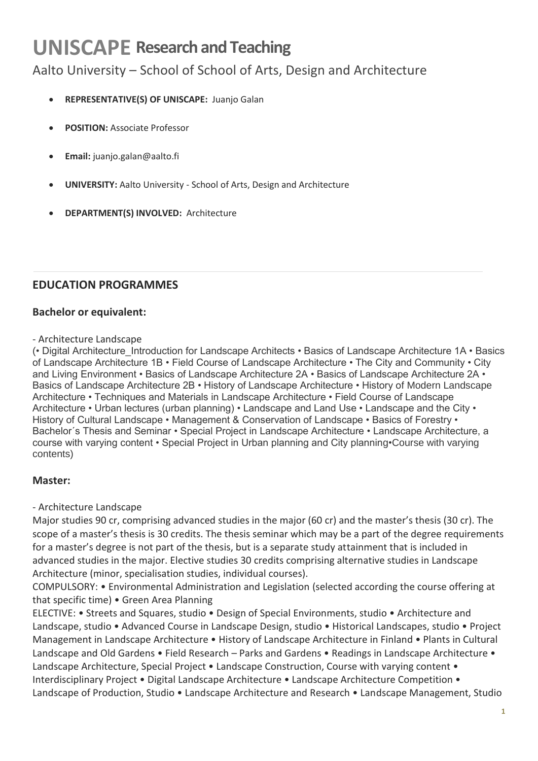### **UNISCAPE Research and Teaching**

#### Aalto University – School of School of Arts, Design and Architecture

- **REPRESENTATIVE(S) OF UNISCAPE:** Juanjo Galan
- **POSITION:** Associate Professor
- **Email:** juanjo.galan@aalto.fi
- **UNIVERSITY:** Aalto University School of Arts, Design and Architecture
- **DEPARTMENT(S) INVOLVED:** Architecture

#### **EDUCATION PROGRAMMES**

#### **Bachelor or equivalent:**

#### - Architecture Landscape

(• Digital Architecture\_Introduction for Landscape Architects • Basics of Landscape Architecture 1A • Basics of Landscape Architecture 1B • Field Course of Landscape Architecture • The City and Community • City and Living Environment • Basics of Landscape Architecture 2A • Basics of Landscape Architecture 2A • Basics of Landscape Architecture 2B • History of Landscape Architecture • History of Modern Landscape Architecture • Techniques and Materials in Landscape Architecture • Field Course of Landscape Architecture • Urban lectures (urban planning) • Landscape and Land Use • Landscape and the City • History of Cultural Landscape • Management & Conservation of Landscape • Basics of Forestry • Bachelor´s Thesis and Seminar • Special Project in Landscape Architecture • Landscape Architecture, a course with varying content • Special Project in Urban planning and City planning•Course with varying contents)

#### **Master:**

#### - Architecture Landscape

Major studies 90 cr, comprising advanced studies in the major (60 cr) and the master's thesis (30 cr). The scope of a master's thesis is 30 credits. The thesis seminar which may be a part of the degree requirements for a master's degree is not part of the thesis, but is a separate study attainment that is included in advanced studies in the major. Elective studies 30 credits comprising alternative studies in Landscape Architecture (minor, specialisation studies, individual courses).

COMPULSORY: • Environmental Administration and Legislation (selected according the course offering at that specific time) • Green Area Planning

ELECTIVE: • Streets and Squares, studio • Design of Special Environments, studio • Architecture and Landscape, studio • Advanced Course in Landscape Design, studio • Historical Landscapes, studio • Project Management in Landscape Architecture • History of Landscape Architecture in Finland • Plants in Cultural Landscape and Old Gardens • Field Research – Parks and Gardens • Readings in Landscape Architecture • Landscape Architecture, Special Project • Landscape Construction, Course with varying content • Interdisciplinary Project • Digital Landscape Architecture • Landscape Architecture Competition • Landscape of Production, Studio • Landscape Architecture and Research • Landscape Management, Studio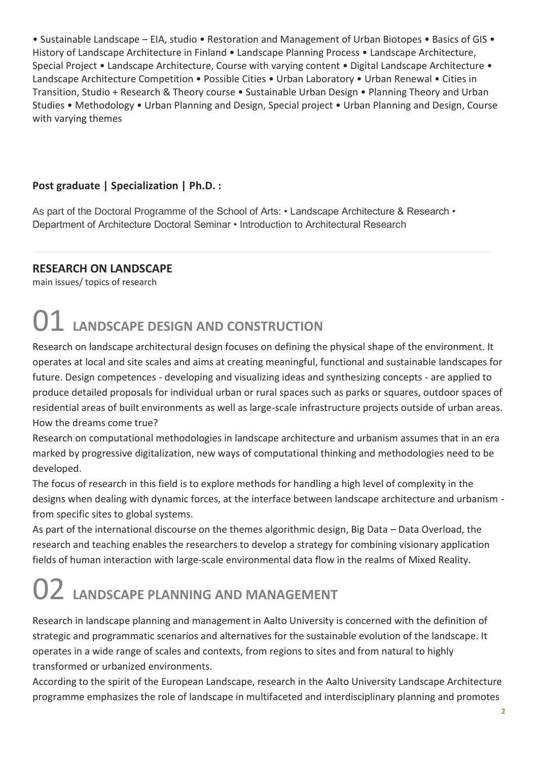• Sustainable Landscape – EIA, studio • Restoration and Management of Urban Biotopes • Basics of GIS • History of Landscape Architecture in Finland • Landscape Planning Process • Landscape Architecture, Special Project • Landscape Architecture, Course with varying content • Digital Landscape Architecture • Landscape Architecture Competition • Possible Cities • Urban Laboratory • Urban Renewal • Cities in Transition, Studio + Research & Theory course • Sustainable Urban Design • Planning Theory and Urban Studies • Methodology • Urban Planning and Design, Special project • Urban Planning and Design, Course with varying themes

#### **Post graduate | Specialization | Ph.D. :**

As part of the Doctoral Programme of the School of Arts: • Landscape Architecture & Research • Department of Architecture Doctoral Seminar • Introduction to Architectural Research

#### **RESEARCH ON LANDSCAPE**

main issues/ topics of research

## 01 **LANDSCAPE DESIGN AND CONSTRUCTION**

Research on landscape architectural design focuses on defining the physical shape of the environment. It operates at local and site scales and aims at creating meaningful, functional and sustainable landscapes for future. Design competences - developing and visualizing ideas and synthesizing concepts - are applied to produce detailed proposals for individual urban or rural spaces such as parks or squares, outdoor spaces of residential areas of built environments as well as large-scale infrastructure projects outside of urban areas. How the dreams come true?

Research on computational methodologies in landscape architecture and urbanism assumes that in an era marked by progressive digitalization, new ways of computational thinking and methodologies need to be developed.

The focus of research in this field is to explore methods for handling a high level of complexity in the designs when dealing with dynamic forces, at the interface between landscape architecture and urbanism from specific sites to global systems.

As part of the international discourse on the themes algorithmic design, Big Data – Data Overload, the research and teaching enables the researchers to develop a strategy for combining visionary application fields of human interaction with large-scale environmental data flow in the realms of Mixed Reality.

# 02 **LANDSCAPE PLANNING AND MANAGEMENT**

Research in landscape planning and management in Aalto University is concerned with the definition of strategic and programmatic scenarios and alternatives for the sustainable evolution of the landscape. It operates in a wide range of scales and contexts, from regions to sites and from natural to highly transformed or urbanized environments.

According to the spirit of the European Landscape, research in the Aalto University Landscape Architecture programme emphasizes the role of landscape in multifaceted and interdisciplinary planning and promotes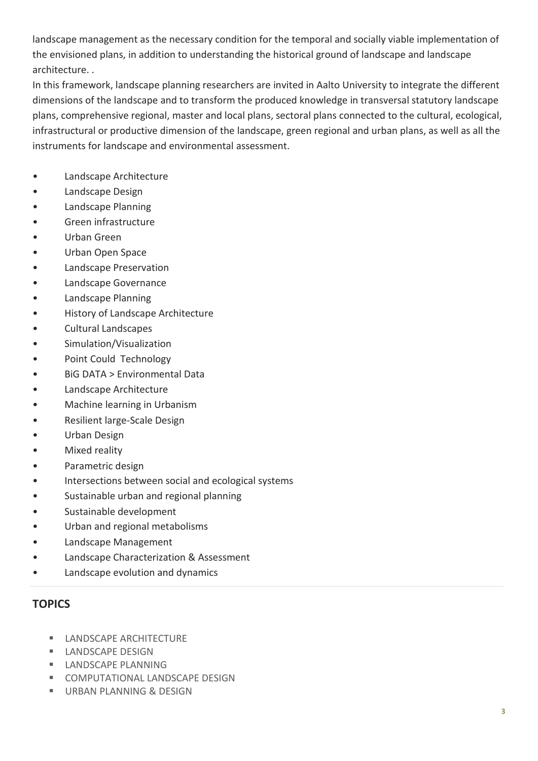landscape management as the necessary condition for the temporal and socially viable implementation of the envisioned plans, in addition to understanding the historical ground of landscape and landscape architecture. .

In this framework, landscape planning researchers are invited in Aalto University to integrate the different dimensions of the landscape and to transform the produced knowledge in transversal statutory landscape plans, comprehensive regional, master and local plans, sectoral plans connected to the cultural, ecological, infrastructural or productive dimension of the landscape, green regional and urban plans, as well as all the instruments for landscape and environmental assessment.

- Landscape Architecture
- Landscape Design
- Landscape Planning
- Green infrastructure
- Urban Green
- Urban Open Space
- Landscape Preservation
- Landscape Governance
- Landscape Planning
- History of Landscape Architecture
- Cultural Landscapes
- Simulation/Visualization
- Point Could Technology
- BiG DATA > Environmental Data
- Landscape Architecture
- Machine learning in Urbanism
- Resilient large-Scale Design
- Urban Design
- Mixed reality
- Parametric design
- Intersections between social and ecological systems
- Sustainable urban and regional planning
- Sustainable development
- Urban and regional metabolisms
- Landscape Management
- Landscape Characterization & Assessment
- Landscape evolution and dynamics

#### **TOPICS**

- **LANDSCAPE ARCHITECTURE**
- **LANDSCAPE DESIGN**
- **LANDSCAPF PLANNING**
- **E** COMPUTATIONAL LANDSCAPE DESIGN
- **URBAN PLANNING & DESIGN**